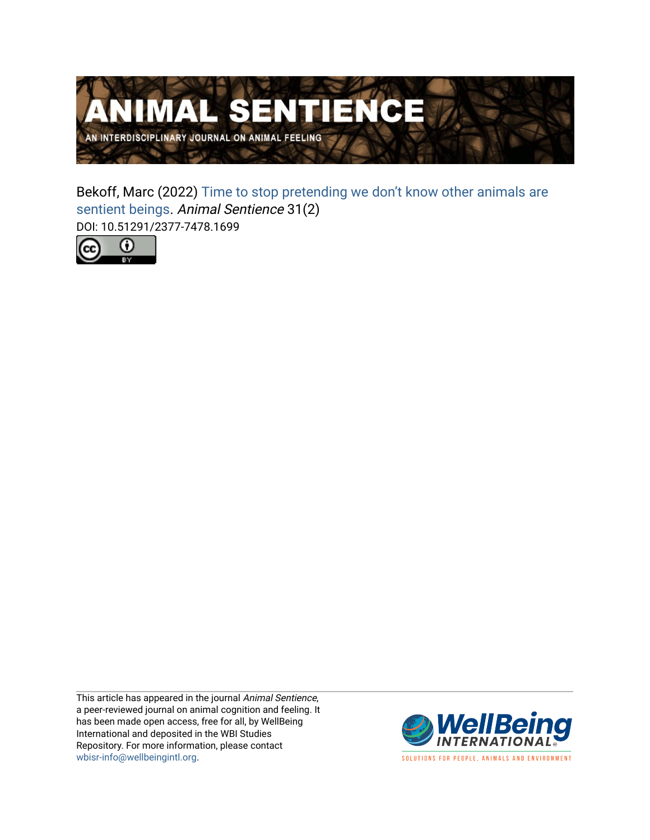

Bekoff, Marc (2022) [Time to stop pretending we don't know other animals are](https://www.wellbeingintlstudiesrepository.org/animsent/vol6/iss31/2)  [sentient beings](https://www.wellbeingintlstudiesrepository.org/animsent/vol6/iss31/2). Animal Sentience 31(2) DOI: 10.51291/2377-7478.1699



This article has appeared in the journal Animal Sentience, a peer-reviewed journal on animal cognition and feeling. It has been made open access, free for all, by WellBeing International and deposited in the WBI Studies Repository. For more information, please contact [wbisr-info@wellbeingintl.org](mailto:wbisr-info@wellbeingintl.org).



SOLUTIONS FOR PEOPLE, ANIMALS AND ENVIRONMENT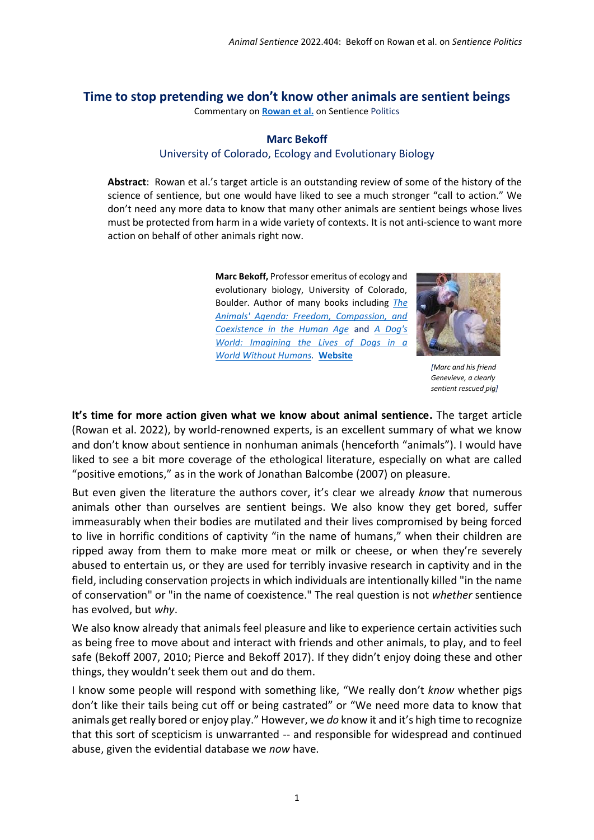## **Time to stop pretending we don't know other animals are sentient beings**

Commentary on **[Rowan et al.](https://www.wellbeingintlstudiesrepository.org/animsent/vol6/iss31/1)** on Sentience Politics

## **Marc Bekoff**

## University of Colorado, Ecology and Evolutionary Biology

**Abstract**: Rowan et al.'s target article is an outstanding review of some of the history of the science of sentience, but one would have liked to see a much stronger "call to action." We don't need any more data to know that many other animals are sentient beings whose lives must be protected from harm in a wide variety of contexts. It is not anti-science to want more action on behalf of other animals right now.

> **Marc Bekoff,** Professor emeritus of ecology and evolutionary biology, University of Colorado, Boulder. Author of many books including *[The](https://www.nhbs.com/the-animals-agenda-book)  [Animals' Agenda: Freedom, Compassion, and](https://www.nhbs.com/the-animals-agenda-book)  [Coexistence in the Human Age](https://www.nhbs.com/the-animals-agenda-book)* and *[A Dog's](https://www.amazon.com/Dogs-World-Imagining-without-Humans/dp/0691196184/ref=sr_1_2?dchild=1&keywords=bekoff+a+dogs+world&qid=1618667839&sr=8-2)  [World: Imagining the Lives of Dogs in a](https://www.amazon.com/Dogs-World-Imagining-without-Humans/dp/0691196184/ref=sr_1_2?dchild=1&keywords=bekoff+a+dogs+world&qid=1618667839&sr=8-2)  World [Without Humans.](https://www.amazon.com/Dogs-World-Imagining-without-Humans/dp/0691196184/ref=sr_1_2?dchild=1&keywords=bekoff+a+dogs+world&qid=1618667839&sr=8-2)* **[Website](http://marcbekoff.com/)**



*[Marc and his friend Genevieve, a clearly sentient rescued pig]*

**It's time for more action given what we know about animal sentience.** The target article (Rowan et al. 2022), by world-renowned experts, is an excellent summary of what we know and don't know about sentience in nonhuman animals (henceforth "animals"). I would have liked to see a bit more coverage of the ethological literature, especially on what are called "positive emotions," as in the work of Jonathan Balcombe (2007) on pleasure.

But even given the literature the authors cover, it's clear we already *know* that numerous animals other than ourselves are sentient beings. We also know they get bored, suffer immeasurably when their bodies are mutilated and their lives compromised by being forced to live in horrific conditions of captivity "in the name of humans," when their children are ripped away from them to make more meat or milk or cheese, or when they're severely abused to entertain us, or they are used for terribly invasive research in captivity and in the field, including conservation projects in which individuals are intentionally killed "in the name of conservation" or "in the name of coexistence." The real question is not *whether* sentience has evolved, but *why*.

We also know already that animals feel pleasure and like to experience certain activities such as being free to move about and interact with friends and other animals, to play, and to feel safe (Bekoff 2007, 2010; Pierce and Bekoff 2017). If they didn't enjoy doing these and other things, they wouldn't seek them out and do them.

I know some people will respond with something like, "We really don't *know* whether pigs don't like their tails being cut off or being castrated" or "We need more data to know that animals get really bored or enjoy play." However, we *do* know it and it's high time to recognize that this sort of scepticism is unwarranted -- and responsible for widespread and continued abuse, given the evidential database we *now* have.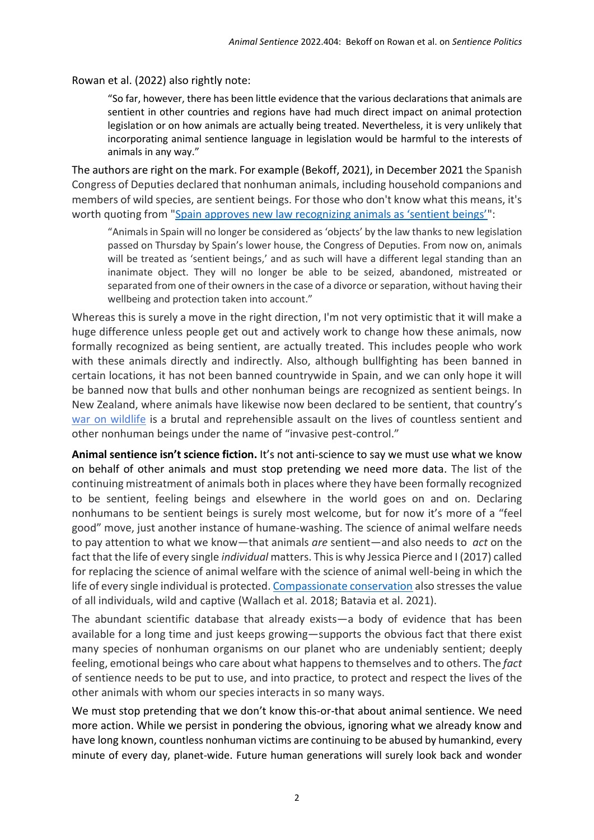Rowan et al. (2022) also rightly note:

"So far, however, there has been little evidence that the various declarations that animals are sentient in other countries and regions have had much direct impact on animal protection legislation or on how animals are actually being treated. Nevertheless, it is very unlikely that incorporating animal sentience language in legislation would be harmful to the interests of animals in any way."

The authors are right on the mark. For example (Bekoff, 2021), in December 2021 the Spanish Congress of Deputies declared that nonhuman animals, including household companions and members of wild species, are sentient beings. For those who don't know what this means, it's worth quoting from "[Spain approves new law recognizing animals as 'sentient beings'](https://english.elpais.com/society/2021-12-03/spain-approves-new-law-recognizing-animals-as-sentient-beings.html)":

"Animals in Spain will no longer be considered as 'objects' by the law thanks to new legislation passed on Thursday by Spain's lower house, the Congress of Deputies. From now on, animals will be treated as 'sentient beings,' and as such will have a different legal standing than an inanimate object. They will no longer be able to be seized, abandoned, mistreated or separated from one of their owners in the case of a divorce or separation, without having their wellbeing and protection taken into account."

Whereas this is surely a move in the right direction, I'm not very optimistic that it will make a huge difference unless people get out and actively work to change how these animals, now formally recognized as being sentient, are actually treated. This includes people who work with these animals directly and indirectly. Also, although bullfighting has been banned in certain locations, it has not been banned countrywide in Spain, and we can only hope it will be banned now that bulls and other nonhuman beings are recognized as sentient beings. In New Zealand, where animals have likewise now been declared to be sentient, that country's [war on wildlife](https://www.psychologytoday.com/us/blog/animal-emotions/202001/jane-goodall-says-dont-use-1080-jan-wright-says-use-more) is a brutal and reprehensible assault on the lives of countless sentient and other nonhuman beings under the name of "invasive pest-control."

**Animal sentience isn't science fiction.** It's not anti-science to say we must use what we know on behalf of other animals and must stop pretending we need more data. The list of the continuing mistreatment of animals both in places where they have been formally recognized to be sentient, feeling beings and elsewhere in the world goes on and on. Declaring nonhumans to be sentient beings is surely most welcome, but for now it's more of a "feel good" move, just another instance of humane-washing. The science of animal welfare needs to pay attention to what we know—that animals *are* sentient—and also needs to *act* on the fact that the life of every single *individual* matters. This is why Jessica Pierce and I (2017) called for replacing the science of animal welfare with the science of animal well-being in which the life of every single individual is protected[. Compassionate conservation](https://www.google.com/search?client=safari&rls=en&q=bekoff+compassionate+conservation+psychology+today&ie=UTF-8&oe=UTF-8) also stresses the value of all individuals, wild and captive (Wallach et al. 2018; Batavia et al. 2021).

The abundant scientific database that already exists—a body of evidence that has been available for a long time and just keeps growing—supports the obvious fact that there exist many species of nonhuman organisms on our planet who are undeniably sentient; deeply feeling, emotional beings who care about what happens to themselves and to others. The *fact* of sentience needs to be put to use, and into practice, to protect and respect the lives of the other animals with whom our species interacts in so many ways.

We must stop pretending that we don't know this-or-that about animal sentience. We need more action. While we persist in pondering the obvious, ignoring what we already know and have long known, countless nonhuman victims are continuing to be abused by humankind, every minute of every day, planet-wide. Future human generations will surely look back and wonder